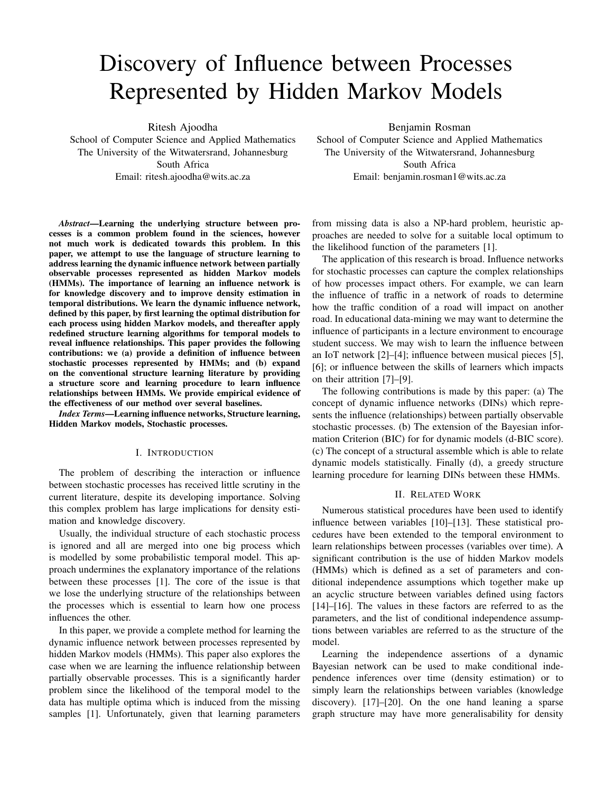# Discovery of Influence between Processes Represented by Hidden Markov Models

Ritesh Ajoodha

School of Computer Science and Applied Mathematics The University of the Witwatersrand, Johannesburg South Africa Email: ritesh.ajoodha@wits.ac.za

*Abstract*—Learning the underlying structure between processes is a common problem found in the sciences, however not much work is dedicated towards this problem. In this paper, we attempt to use the language of structure learning to address learning the dynamic influence network between partially observable processes represented as hidden Markov models (HMMs). The importance of learning an influence network is for knowledge discovery and to improve density estimation in temporal distributions. We learn the dynamic influence network, defined by this paper, by first learning the optimal distribution for each process using hidden Markov models, and thereafter apply redefined structure learning algorithms for temporal models to reveal influence relationships. This paper provides the following contributions: we (a) provide a definition of influence between stochastic processes represented by HMMs; and (b) expand on the conventional structure learning literature by providing a structure score and learning procedure to learn influence relationships between HMMs. We provide empirical evidence of the effectiveness of our method over several baselines.

*Index Terms*—Learning influence networks, Structure learning, Hidden Markov models, Stochastic processes.

## I. INTRODUCTION

The problem of describing the interaction or influence between stochastic processes has received little scrutiny in the current literature, despite its developing importance. Solving this complex problem has large implications for density estimation and knowledge discovery.

Usually, the individual structure of each stochastic process is ignored and all are merged into one big process which is modelled by some probabilistic temporal model. This approach undermines the explanatory importance of the relations between these processes [1]. The core of the issue is that we lose the underlying structure of the relationships between the processes which is essential to learn how one process influences the other.

In this paper, we provide a complete method for learning the dynamic influence network between processes represented by hidden Markov models (HMMs). This paper also explores the case when we are learning the influence relationship between partially observable processes. This is a significantly harder problem since the likelihood of the temporal model to the data has multiple optima which is induced from the missing samples [1]. Unfortunately, given that learning parameters

Benjamin Rosman School of Computer Science and Applied Mathematics The University of the Witwatersrand, Johannesburg South Africa Email: benjamin.rosman1@wits.ac.za

from missing data is also a NP-hard problem, heuristic approaches are needed to solve for a suitable local optimum to the likelihood function of the parameters [1].

The application of this research is broad. Influence networks for stochastic processes can capture the complex relationships of how processes impact others. For example, we can learn the influence of traffic in a network of roads to determine how the traffic condition of a road will impact on another road. In educational data-mining we may want to determine the influence of participants in a lecture environment to encourage student success. We may wish to learn the influence between an IoT network [2]–[4]; influence between musical pieces [5], [6]; or influence between the skills of learners which impacts on their attrition [7]–[9].

The following contributions is made by this paper: (a) The concept of dynamic influence networks (DINs) which represents the influence (relationships) between partially observable stochastic processes. (b) The extension of the Bayesian information Criterion (BIC) for for dynamic models (d-BIC score). (c) The concept of a structural assemble which is able to relate dynamic models statistically. Finally (d), a greedy structure learning procedure for learning DINs between these HMMs.

# II. RELATED WORK

Numerous statistical procedures have been used to identify influence between variables [10]–[13]. These statistical procedures have been extended to the temporal environment to learn relationships between processes (variables over time). A significant contribution is the use of hidden Markov models (HMMs) which is defined as a set of parameters and conditional independence assumptions which together make up an acyclic structure between variables defined using factors [14]–[16]. The values in these factors are referred to as the parameters, and the list of conditional independence assumptions between variables are referred to as the structure of the model.

Learning the independence assertions of a dynamic Bayesian network can be used to make conditional independence inferences over time (density estimation) or to simply learn the relationships between variables (knowledge discovery). [17]–[20]. On the one hand leaning a sparse graph structure may have more generalisability for density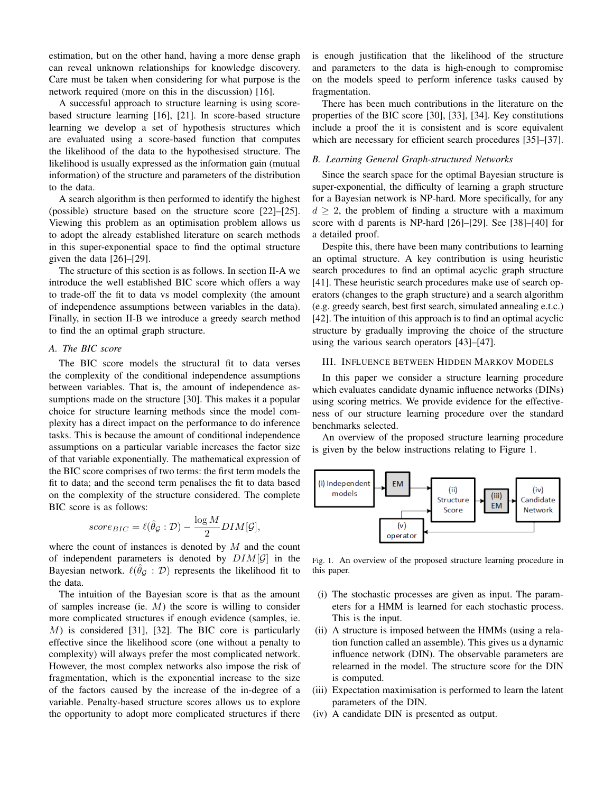estimation, but on the other hand, having a more dense graph can reveal unknown relationships for knowledge discovery. Care must be taken when considering for what purpose is the network required (more on this in the discussion) [16].

A successful approach to structure learning is using scorebased structure learning [16], [21]. In score-based structure learning we develop a set of hypothesis structures which are evaluated using a score-based function that computes the likelihood of the data to the hypothesised structure. The likelihood is usually expressed as the information gain (mutual information) of the structure and parameters of the distribution to the data.

A search algorithm is then performed to identify the highest (possible) structure based on the structure score [22]–[25]. Viewing this problem as an optimisation problem allows us to adopt the already established literature on search methods in this super-exponential space to find the optimal structure given the data [26]–[29].

The structure of this section is as follows. In section II-A we introduce the well established BIC score which offers a way to trade-off the fit to data vs model complexity (the amount of independence assumptions between variables in the data). Finally, in section II-B we introduce a greedy search method to find the an optimal graph structure.

# *A. The BIC score*

The BIC score models the structural fit to data verses the complexity of the conditional independence assumptions between variables. That is, the amount of independence assumptions made on the structure [30]. This makes it a popular choice for structure learning methods since the model complexity has a direct impact on the performance to do inference tasks. This is because the amount of conditional independence assumptions on a particular variable increases the factor size of that variable exponentially. The mathematical expression of the BIC score comprises of two terms: the first term models the fit to data; and the second term penalises the fit to data based on the complexity of the structure considered. The complete BIC score is as follows:

$$
score_{BIC} = \ell(\hat{\theta}_{\mathcal{G}} : \mathcal{D}) - \frac{\log M}{2} DIM[\mathcal{G}],
$$

where the count of instances is denoted by  $M$  and the count of independent parameters is denoted by  $DIM[\mathcal{G}]$  in the Bayesian network.  $\ell(\hat{\theta}_{\mathcal{G}} : \mathcal{D})$  represents the likelihood fit to the data.

The intuition of the Bayesian score is that as the amount of samples increase (ie.  $M$ ) the score is willing to consider more complicated structures if enough evidence (samples, ie. M) is considered [31], [32]. The BIC core is particularly effective since the likelihood score (one without a penalty to complexity) will always prefer the most complicated network. However, the most complex networks also impose the risk of fragmentation, which is the exponential increase to the size of the factors caused by the increase of the in-degree of a variable. Penalty-based structure scores allows us to explore the opportunity to adopt more complicated structures if there is enough justification that the likelihood of the structure and parameters to the data is high-enough to compromise on the models speed to perform inference tasks caused by fragmentation.

There has been much contributions in the literature on the properties of the BIC score [30], [33], [34]. Key constitutions include a proof the it is consistent and is score equivalent which are necessary for efficient search procedures [35]–[37].

# *B. Learning General Graph-structured Networks*

Since the search space for the optimal Bayesian structure is super-exponential, the difficulty of learning a graph structure for a Bayesian network is NP-hard. More specifically, for any  $d > 2$ , the problem of finding a structure with a maximum score with d parents is NP-hard [26]–[29]. See [38]–[40] for a detailed proof.

Despite this, there have been many contributions to learning an optimal structure. A key contribution is using heuristic search procedures to find an optimal acyclic graph structure [41]. These heuristic search procedures make use of search operators (changes to the graph structure) and a search algorithm (e.g. greedy search, best first search, simulated annealing e.t.c.) [42]. The intuition of this approach is to find an optimal acyclic structure by gradually improving the choice of the structure using the various search operators [43]–[47].

#### III. INFLUENCE BETWEEN HIDDEN MARKOV MODELS

In this paper we consider a structure learning procedure which evaluates candidate dynamic influence networks (DINs) using scoring metrics. We provide evidence for the effectiveness of our structure learning procedure over the standard benchmarks selected.

An overview of the proposed structure learning procedure is given by the below instructions relating to Figure 1.



Fig. 1. An overview of the proposed structure learning procedure in this paper.

- (i) The stochastic processes are given as input. The parameters for a HMM is learned for each stochastic process. This is the input.
- (ii) A structure is imposed between the HMMs (using a relation function called an assemble). This gives us a dynamic influence network (DIN). The observable parameters are relearned in the model. The structure score for the DIN is computed.
- (iii) Expectation maximisation is performed to learn the latent parameters of the DIN.
- (iv) A candidate DIN is presented as output.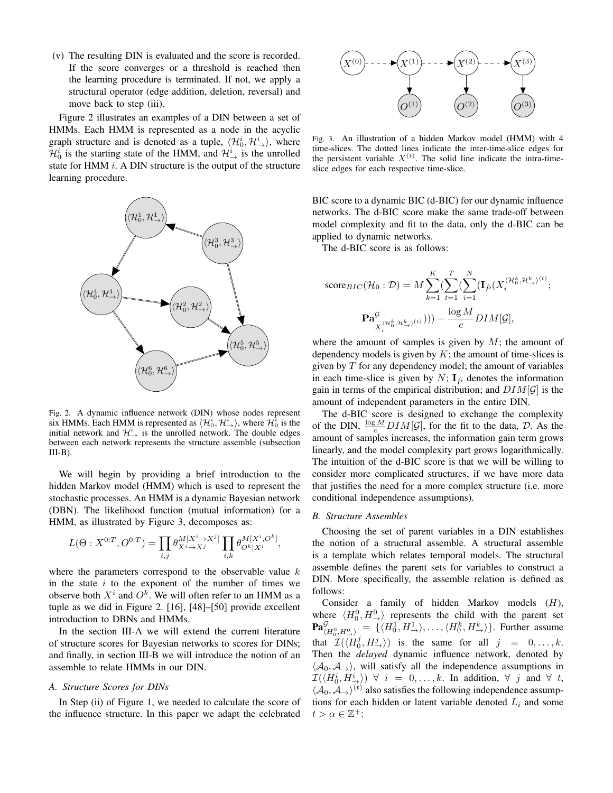(v) The resulting DIN is evaluated and the score is recorded. If the score converges or a threshold is reached then the learning procedure is terminated. If not, we apply a structural operator (edge addition, deletion, reversal) and move back to step (iii).

Figure 2 illustrates an examples of a DIN between a set of HMMs. Each HMM is represented as a node in the acyclic graph structure and is denoted as a tuple,  $\langle \mathcal{H}_0^i, \mathcal{H}_{\rightarrow}^i \rangle$ , where  $\mathcal{H}_0^i$  is the starting state of the HMM, and  $\mathcal{H}_{\rightarrow}^i$  is the unrolled state for HMM  $i$ . A DIN structure is the output of the structure learning procedure.



Fig. 2. A dynamic influence network (DIN) whose nodes represent six HMMs. Each HMM is represented as  $\langle \mathcal{H}_0^i, \mathcal{H}_{\rightarrow}^i \rangle$ , where  $\mathcal{H}_0^i$  is the initial network and  $\mathcal{H}^i_{\rightarrow}$  is the unrolled network. The double edges between each network represents the structure assemble (subsection  $III-B$ ).

We will begin by providing a brief introduction to the hidden Markov model (HMM) which is used to represent the stochastic processes. An HMM is a dynamic Bayesian network (DBN). The likelihood function (mutual information) for a HMM, as illustrated by Figure 3, decomposes as:

$$
L(\Theta : X^{0:T}, O^{0:T}) = \prod_{i,j} \theta_{X^i \to X^j}^{M[X^i \to X^j]} \prod_{i,k} \theta_{O^k|X^i}^{M[X^i, O^k]}
$$

where the parameters correspond to the observable value  $k$ in the state  $i$  to the exponent of the number of times we observe both  $X^i$  and  $O^k$ . We will often refer to an HMM as a tuple as we did in Figure 2. [16], [48]–[50] provide excellent introduction to DBNs and HMMs.

In the section III-A we will extend the current literature of structure scores for Bayesian networks to scores for DINs; and finally, in section III-B we will introduce the notion of an assemble to relate HMMs in our DIN.

## *A. Structure Scores for DINs*

In Step (ii) of Figure 1, we needed to calculate the score of the influence structure. In this paper we adapt the celebrated



Fig. 3. An illustration of a hidden Markov model (HMM) with 4 time-slices. The dotted lines indicate the inter-time-slice edges for the persistent variable  $X^{(t)}$ . The solid line indicate the intra-timeslice edges for each respective time-slice.

BIC score to a dynamic BIC (d-BIC) for our dynamic influence networks. The d-BIC score make the same trade-off between model complexity and fit to the data, only the d-BIC can be applied to dynamic networks.

The d-BIC score is as follows:

$$
\text{score}_{BIC}(\mathcal{H}_0: \mathcal{D}) = M \sum_{k=1}^K (\sum_{t=1}^T (\sum_{i=1}^N (\mathbf{I}_{\hat{P}}(X_i^{\langle \mathcal{H}_0^k, \mathcal{H}_{\rightarrow}^k)^{(t)}});
$$

$$
\mathbf{Pa}_{X_i^{\langle \mathcal{H}_0^k, \mathcal{H}_{\rightarrow}^k)^{(t)}}}^{\mathcal{G}}))) - \frac{\log M}{c} DIM[\mathcal{G}],
$$

where the amount of samples is given by  $M$ ; the amount of dependency models is given by  $K$ ; the amount of time-slices is given by  $T$  for any dependency model; the amount of variables in each time-slice is given by  $N$ ;  $I_{\hat{P}}$  denotes the information gain in terms of the empirical distribution; and  $DIM[\mathcal{G}]$  is the amount of independent parameters in the entire DIN.

The d-BIC score is designed to exchange the complexity of the DIN,  $\frac{\log M}{c}$   $DIM[\mathcal{G}]$ , for the fit to the data,  $\mathcal{D}$ . As the amount of samples increases, the information gain term grows linearly, and the model complexity part grows logarithmically. The intuition of the d-BIC score is that we will be willing to consider more complicated structures, if we have more data that justifies the need for a more complex structure (i.e. more conditional independence assumptions).

## *B. Structure Assembles*

,

Choosing the set of parent variables in a DIN establishes the notion of a structural assemble. A structural assemble is a template which relates temporal models. The structural assemble defines the parent sets for variables to construct a DIN. More specifically, the assemble relation is defined as follows:

Consider a family of hidden Markov models (H), where  $\langle H_0^0, H_{\rightarrow}^0 \rangle$  represents the child with the parent set  $\mathbf{Pa}_{(H_0^0, H_{\rightharpoonup}^0)}^{\mathcal{G}} = \{ \langle H_0^1, H_{\rightharpoonup}^1 \rangle, \dots, \langle H_0^k, H_{\rightharpoonup}^k \rangle \}.$  Further assume that  $\mathcal{I}(\langle H_0^j, H_{\rightarrow}^j \rangle)$  is the same for all  $j = 0, \dots, k$ . Then the *delayed* dynamic influence network, denoted by  $\langle A_0, A_{\rightarrow} \rangle$ , will satisfy all the independence assumptions in  $\mathcal{I}(\langle H_0^i, H_\rightarrow^i\rangle) \;\;\forall\;\; i\;\;=\;\;0,\dots,k.$  In addition,  $\forall\;\;j$  and  $\forall\;\;t,$  $\langle A_0, A_{\rightarrow} \rangle^{(t)}$  also satisfies the following independence assumptions for each hidden or latent variable denoted  $L_i$  and some  $t > \alpha \in \mathbb{Z}^+$ :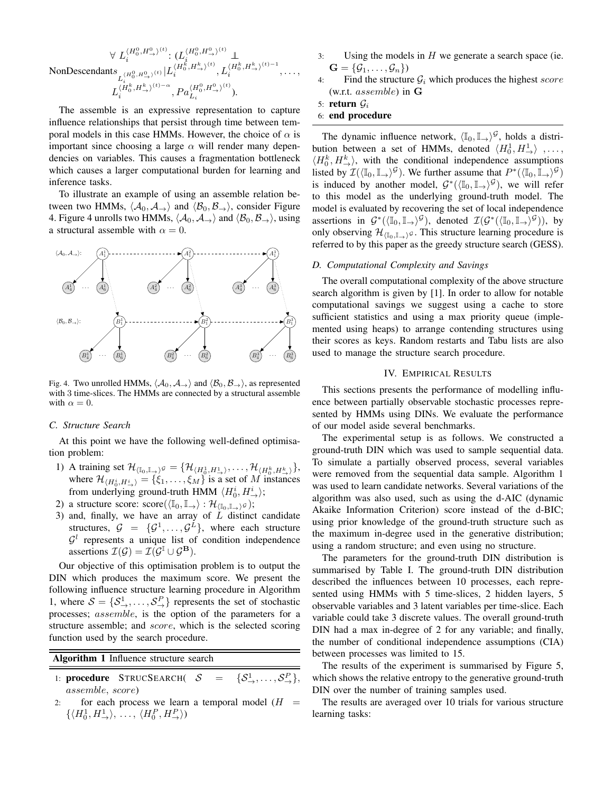$\forall\,\, L_i^{\langle H_0^0, H_{\rightarrow}^0 \rangle^{(t)}}$  $\langle H_0^0, H_{\rightarrow}^0 \rangle^{(t)} \colon (L^{ \langle H_0^0, H_{\rightarrow}^0 \rangle^{(t)} }_{i} \perp$ NonDescendants  $L_i^{(H_0^0, H_{\to}^0)^{(t)}}$ i  $|L_i^{\langle H_0^k, H_\rightarrow^k \rangle^{(t)}}$  $\langle H_0^{\vec{k}},H_{\rightarrow}^k\rangle^{(t)}, L_i^{\langle H_0^k,H_{\rightarrow}^k\rangle^{(t)-1}}$ i , . . . ,  $L_i^{\langle H_0^k, H_\rightarrow^k \rangle^{(t)-\alpha}}$  $\langle \overset{.}{H}_{0}^{k}, H_{\rightarrow}^{k}\rangle^{(t)-\alpha}, Pa^{\langle H_{0}^{0}, H_{\rightarrow}^{0}\rangle^{(t)}}_{L_{i}}$  $\mathcal{L}_i^{H_0, H_{\rightarrow}}$ .

The assemble is an expressive representation to capture influence relationships that persist through time between temporal models in this case HMMs. However, the choice of  $\alpha$  is important since choosing a large  $\alpha$  will render many dependencies on variables. This causes a fragmentation bottleneck which causes a larger computational burden for learning and inference tasks.

To illustrate an example of using an assemble relation between two HMMs,  $\langle A_0, A_{\rightarrow} \rangle$  and  $\langle B_0, B_{\rightarrow} \rangle$ , consider Figure 4. Figure 4 unrolls two HMMs,  $\langle A_0, A_{\rightarrow} \rangle$  and  $\langle B_0, B_{\rightarrow} \rangle$ , using a structural assemble with  $\alpha = 0$ .



Fig. 4. Two unrolled HMMs,  $\langle A_0, A_{\rightarrow} \rangle$  and  $\langle B_0, B_{\rightarrow} \rangle$ , as represented with 3 time-slices. The HMMs are connected by a structural assemble with  $\alpha = 0$ .

#### *C. Structure Search*

At this point we have the following well-defined optimisation problem:

- 1) A training set  $\mathcal{H}_{(\mathbb{I}_0, \mathbb{I}_{\to})^{\mathcal{G}}} = \{ \mathcal{H}_{\langle H_0^1, H_{\to}^1 \rangle}, \dots, \mathcal{H}_{\langle H_0^k, H_{\to}^k \rangle} \},$ where  $\mathcal{H}_{(H_0^i, H_{\rightarrow}^i)} = {\xi_1, \ldots, \xi_M}$  is a set of M instances from underlying ground-truth HMM  $\langle H_0^i, H_\rightarrow^i \rangle$ ;
- 2) a structure score:  $score(\langle \mathbb{I}_0, \mathbb{I}_{\to} \rangle : \mathcal{H}_{(\mathbb{I}_0, \mathbb{I}_{\to})} \circ);$
- 3) and, finally, we have an array of  $\overline{L}$  distinct candidate structures,  $\mathcal{G} = {\mathcal{G}^1, \ldots, \mathcal{G}^L}$ , where each structure  $\mathcal{G}^l$  represents a unique list of condition independence assertions  $\mathcal{I}(\mathcal{G}) = \mathcal{I}(\mathcal{G}^{\mathbb{I}} \cup \mathcal{G}^{\mathbf{B}})$ .

Our objective of this optimisation problem is to output the DIN which produces the maximum score. We present the following influence structure learning procedure in Algorithm 1, where  $S = \{S^1_+, \ldots, S^P_+\}$  represents the set of stochastic processes; assemble, is the option of the parameters for a structure assemble; and *score*, which is the selected scoring function used by the search procedure.

Algorithm 1 Influence structure search

- 1: procedure  $STRUCSEARCH( S$  $\cup_{\rightarrow}^1,\ldots,\mathcal{S}_{\rightarrow}^P\},$ assemble, score)
- 2: for each process we learn a temporal model  $(H =$  $\{ \langle H_0^1, H_{\rightarrow}^1 \rangle, \ldots, \langle H_0^P, H_{\rightarrow}^P \rangle \}$
- 3: Using the models in  $H$  we generate a search space (ie.  $\mathbf{G} = \{ \mathcal{G}_1, \ldots, \mathcal{G}_n \}$
- 4: Find the structure  $G_i$  which produces the highest score (w.r.t. assemble) in G

5: return  $G_i$ 

6: end procedure

The dynamic influence network,  $\langle \mathbb{I}_0, \mathbb{I}_+ \rangle^{\mathcal{G}}$ , holds a distribution between a set of HMMs, denoted  $\langle H_0^1, H_{\rightarrow}^1 \rangle$  ,...  $\langle H_0^k, H_{\to}^k \rangle$ , with the conditional independence assumptions listed by  $\mathcal{I}(\langle \mathbb{I}_0, \mathbb{I}_\to \rangle^\mathcal{G})$ . We further assume that  $P^*(\langle \mathbb{I}_0, \mathbb{I}_\to \rangle^\mathcal{G})$ is induced by another model,  $\mathcal{G}^*(\langle \mathbb{I}_0, \mathbb{I}_+ \rangle^{\mathcal{G}})$ , we will refer to this model as the underlying ground-truth model. The model is evaluated by recovering the set of local independence assertions in  $\mathcal{G}^*(\langle \mathbb{I}_0, \mathbb{I}_+ \rangle^{\mathcal{G}})$ , denoted  $\mathcal{I}(\mathcal{G}^*(\langle \mathbb{I}_0, \mathbb{I}_+ \rangle^{\mathcal{G}}))$ , by only observing  $\mathcal{H}_{(I_0,I_1)}$ , This structure learning procedure is referred to by this paper as the greedy structure search (GESS).

## *D. Computational Complexity and Savings*

The overall computational complexity of the above structure search algorithm is given by [1]. In order to allow for notable computational savings we suggest using a cache to store sufficient statistics and using a max priority queue (implemented using heaps) to arrange contending structures using their scores as keys. Random restarts and Tabu lists are also used to manage the structure search procedure.

#### IV. EMPIRICAL RESULTS

This sections presents the performance of modelling influence between partially observable stochastic processes represented by HMMs using DINs. We evaluate the performance of our model aside several benchmarks.

The experimental setup is as follows. We constructed a ground-truth DIN which was used to sample sequential data. To simulate a partially observed process, several variables were removed from the sequential data sample. Algorithm 1 was used to learn candidate networks. Several variations of the algorithm was also used, such as using the d-AIC (dynamic Akaike Information Criterion) score instead of the d-BIC; using prior knowledge of the ground-truth structure such as the maximum in-degree used in the generative distribution; using a random structure; and even using no structure.

The parameters for the ground-truth DIN distribution is summarised by Table I. The ground-truth DIN distribution described the influences between 10 processes, each represented using HMMs with 5 time-slices, 2 hidden layers, 5 observable variables and 3 latent variables per time-slice. Each variable could take 3 discrete values. The overall ground-truth DIN had a max in-degree of 2 for any variable; and finally, the number of conditional independence assumptions (CIA) between processes was limited to 15.

The results of the experiment is summarised by Figure 5, which shows the relative entropy to the generative ground-truth DIN over the number of training samples used.

The results are averaged over 10 trials for various structure learning tasks: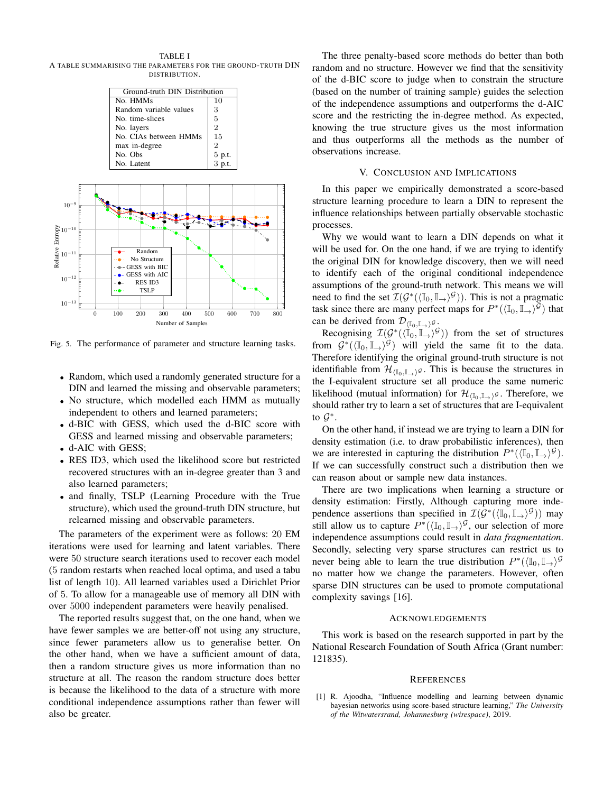TABLE I A TABLE SUMMARISING THE PARAMETERS FOR THE GROUND-TRUTH DIN DISTRIBUTION.



Fig. 5. The performance of parameter and structure learning tasks.

- Random, which used a randomly generated structure for a DIN and learned the missing and observable parameters;
- No structure, which modelled each HMM as mutually independent to others and learned parameters;
- d-BIC with GESS, which used the d-BIC score with GESS and learned missing and observable parameters;
- d-AIC with GESS;
- RES ID3, which used the likelihood score but restricted recovered structures with an in-degree greater than 3 and also learned parameters;
- and finally, TSLP (Learning Procedure with the True structure), which used the ground-truth DIN structure, but relearned missing and observable parameters.

The parameters of the experiment were as follows: 20 EM iterations were used for learning and latent variables. There were 50 structure search iterations used to recover each model (5 random restarts when reached local optima, and used a tabu list of length 10). All learned variables used a Dirichlet Prior of 5. To allow for a manageable use of memory all DIN with over 5000 independent parameters were heavily penalised.

The reported results suggest that, on the one hand, when we have fewer samples we are better-off not using any structure, since fewer parameters allow us to generalise better. On the other hand, when we have a sufficient amount of data, then a random structure gives us more information than no structure at all. The reason the random structure does better is because the likelihood to the data of a structure with more conditional independence assumptions rather than fewer will also be greater.

The three penalty-based score methods do better than both random and no structure. However we find that the sensitivity of the d-BIC score to judge when to constrain the structure (based on the number of training sample) guides the selection of the independence assumptions and outperforms the d-AIC score and the restricting the in-degree method. As expected, knowing the true structure gives us the most information and thus outperforms all the methods as the number of observations increase.

#### V. CONCLUSION AND IMPLICATIONS

In this paper we empirically demonstrated a score-based structure learning procedure to learn a DIN to represent the influence relationships between partially observable stochastic processes.

Why we would want to learn a DIN depends on what it will be used for. On the one hand, if we are trying to identify the original DIN for knowledge discovery, then we will need to identify each of the original conditional independence assumptions of the ground-truth network. This means we will need to find the set  $\mathcal{I}(\mathcal{G}^*(\langle \mathbb{I}_0, \mathbb{I}_\rightarrow \rangle^\mathcal{G}))$ . This is not a pragmatic task since there are many perfect maps for  $P^*(\langle \mathbb{I}_0, \mathbb{I}_{\to} \rangle^{\tilde{G}})$  that can be derived from  $\mathcal{D}_{\langle \mathbb{I}_0, \mathbb{I}_+ \rangle}$ g.

Recognising  $\mathcal{I}(\mathcal{G}^*(\langle \mathbb{I}_0, \mathbb{I}_+ \rangle^{\mathcal{G}}))$  from the set of structures from  $\mathcal{G}^*(\langle \mathbb{I}_0, \mathbb{I}_{\rightarrow} \rangle^{\mathcal{G}})$  will yield the same fit to the data. Therefore identifying the original ground-truth structure is not identifiable from  $\mathcal{H}_{\langle \mathbb{I}_0, \mathbb{I}_\rightarrow \rangle}$ . This is because the structures in the I-equivalent structure set all produce the same numeric likelihood (mutual information) for  $\mathcal{H}_{(\mathbb{I}_0,\mathbb{I}_\rightarrow)^{\mathcal{G}}}$ . Therefore, we should rather try to learn a set of structures that are I-equivalent to  $\mathcal{G}^*$ .

On the other hand, if instead we are trying to learn a DIN for density estimation (i.e. to draw probabilistic inferences), then we are interested in capturing the distribution  $P^*(\langle \mathbb{I}_0, \mathbb{I}_{\rightarrow} \rangle^{\mathcal{G}})$ . If we can successfully construct such a distribution then we can reason about or sample new data instances.

There are two implications when learning a structure or density estimation: Firstly, Although capturing more independence assertions than specified in  $\mathcal{I}(\mathcal{G}^*(\langle \mathbb{I}_0, \mathbb{I}_\rightarrow \rangle^\mathcal{G}))$  may still allow us to capture  $P^*(\langle \mathbb{I}_0, \mathbb{I}_\to \rangle^\mathcal{G}$ , our selection of more independence assumptions could result in *data fragmentation*. Secondly, selecting very sparse structures can restrict us to never being able to learn the true distribution  $P^*(\langle \mathbb{I}_0, \mathbb{I}_+ \rangle^{\mathcal{G}})$ no matter how we change the parameters. However, often sparse DIN structures can be used to promote computational complexity savings [16].

#### ACKNOWLEDGEMENTS

This work is based on the research supported in part by the National Research Foundation of South Africa (Grant number: 121835).

#### **REFERENCES**

[1] R. Ajoodha, "Influence modelling and learning between dynamic bayesian networks using score-based structure learning," *The University of the Witwatersrand, Johannesburg (wirespace)*, 2019.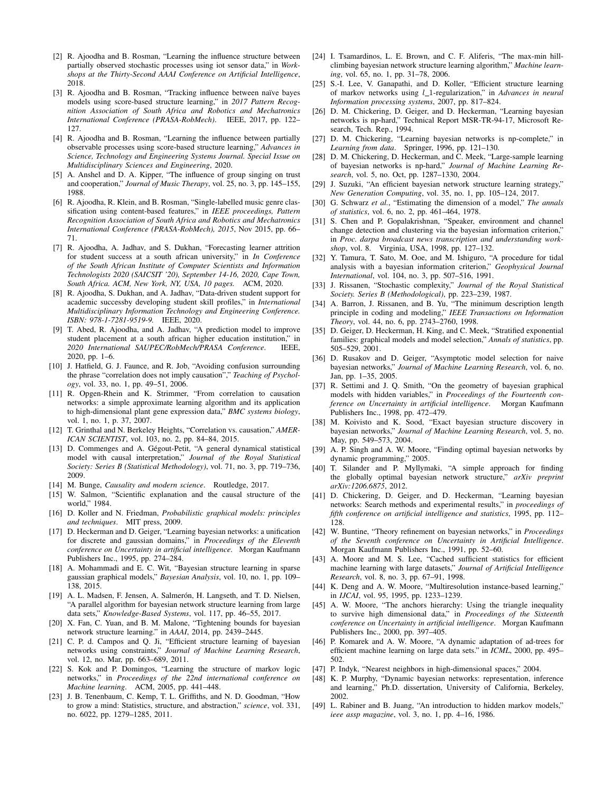- [2] R. Ajoodha and B. Rosman, "Learning the influence structure between partially observed stochastic processes using iot sensor data," in *Workshops at the Thirty-Second AAAI Conference on Artificial Intelligence*, 2018.
- [3] R. Ajoodha and B. Rosman, "Tracking influence between naïve bayes models using score-based structure learning," in *2017 Pattern Recognition Association of South Africa and Robotics and Mechatronics International Conference (PRASA-RobMech)*. IEEE, 2017, pp. 122– 127.
- [4] R. Ajoodha and B. Rosman, "Learning the influence between partially observable processes using score-based structure learning," *Advances in Science, Technology and Engineering Systems Journal. Special Issue on Multidisciplinary Sciences and Engineering*, 2020.
- [5] A. Anshel and D. A. Kipper, "The influence of group singing on trust and cooperation," *Journal of Music Therapy*, vol. 25, no. 3, pp. 145–155, 1988.
- [6] R. Ajoodha, R. Klein, and B. Rosman, "Single-labelled music genre classification using content-based features," in *IEEE proceedings, Pattern Recognition Association of South Africa and Robotics and Mechatronics International Conference (PRASA-RobMech), 2015*, Nov 2015, pp. 66– 71.
- [7] R. Ajoodha, A. Jadhav, and S. Dukhan, "Forecasting learner attrition for student success at a south african university," in *In Conference of the South African Institute of Computer Scientists and Information Technologists 2020 (SAICSIT '20), September 14-16, 2020, Cape Town, South Africa. ACM, New York, NY, USA, 10 pages.* ACM, 2020.
- [8] R. Ajoodha, S. Dukhan, and A. Jadhav, "Data-driven student support for academic successby developing student skill profiles," in *International Multidisciplinary Information Technology and Engineering Conference. ISBN: 978-1-7281-9519-9.* IEEE, 2020.
- [9] T. Abed, R. Ajoodha, and A. Jadhav, "A prediction model to improve student placement at a south african higher education institution," in *2020 International SAUPEC/RobMech/PRASA Conference*. IEEE, 2020, pp. 1–6.
- [10] J. Hatfield, G. J. Faunce, and R. Job, "Avoiding confusion surrounding the phrase "correlation does not imply causation"," *Teaching of Psychology*, vol. 33, no. 1, pp. 49–51, 2006.
- [11] R. Opgen-Rhein and K. Strimmer, "From correlation to causation networks: a simple approximate learning algorithm and its application to high-dimensional plant gene expression data," *BMC systems biology*, vol. 1, no. 1, p. 37, 2007.
- [12] T. Grinthal and N. Berkeley Heights, "Correlation vs. causation," *AMER-ICAN SCIENTIST*, vol. 103, no. 2, pp. 84–84, 2015.
- [13] D. Commenges and A. Gégout-Petit, "A general dynamical statistical model with causal interpretation," *Journal of the Royal Statistical Society: Series B (Statistical Methodology)*, vol. 71, no. 3, pp. 719–736, 2009.
- [14] M. Bunge, *Causality and modern science*. Routledge, 2017.
- [15] W. Salmon, "Scientific explanation and the causal structure of the world," 1984.
- [16] D. Koller and N. Friedman, *Probabilistic graphical models: principles and techniques*. MIT press, 2009.
- [17] D. Heckerman and D. Geiger, "Learning bayesian networks: a unification for discrete and gaussian domains," in *Proceedings of the Eleventh conference on Uncertainty in artificial intelligence*. Morgan Kaufmann Publishers Inc., 1995, pp. 274–284.
- [18] A. Mohammadi and E. C. Wit, "Bayesian structure learning in sparse gaussian graphical models," *Bayesian Analysis*, vol. 10, no. 1, pp. 109– 138, 2015.
- [19] A. L. Madsen, F. Jensen, A. Salmerón, H. Langseth, and T. D. Nielsen, "A parallel algorithm for bayesian network structure learning from large data sets," *Knowledge-Based Systems*, vol. 117, pp. 46–55, 2017.
- [20] X. Fan, C. Yuan, and B. M. Malone, "Tightening bounds for bayesian network structure learning." in *AAAI*, 2014, pp. 2439–2445.
- [21] C. P. d. Campos and Q. Ji, "Efficient structure learning of bayesian networks using constraints," *Journal of Machine Learning Research*, vol. 12, no. Mar, pp. 663–689, 2011.
- [22] S. Kok and P. Domingos, "Learning the structure of markov logic networks," in *Proceedings of the 22nd international conference on Machine learning*. ACM, 2005, pp. 441–448.
- [23] J. B. Tenenbaum, C. Kemp, T. L. Griffiths, and N. D. Goodman, "How to grow a mind: Statistics, structure, and abstraction," *science*, vol. 331, no. 6022, pp. 1279–1285, 2011.
- [24] I. Tsamardinos, L. E. Brown, and C. F. Aliferis, "The max-min hillclimbing bayesian network structure learning algorithm," *Machine learning*, vol. 65, no. 1, pp. 31–78, 2006.
- [25] S.-I. Lee, V. Ganapathi, and D. Koller, "Efficient structure learning of markov networks using *l*\_1-regularization," in *Advances in neural Information processing systems*, 2007, pp. 817–824.
- [26] D. M. Chickering, D. Geiger, and D. Heckerman, "Learning bayesian networks is np-hard," Technical Report MSR-TR-94-17, Microsoft Research, Tech. Rep., 1994.
- [27] D. M. Chickering, "Learning bayesian networks is np-complete," in *Learning from data*. Springer, 1996, pp. 121–130.
- [28] D. M. Chickering, D. Heckerman, and C. Meek, "Large-sample learning of bayesian networks is np-hard," *Journal of Machine Learning Research*, vol. 5, no. Oct, pp. 1287–1330, 2004.
- [29] J. Suzuki, "An efficient bayesian network structure learning strategy," *New Generation Computing*, vol. 35, no. 1, pp. 105–124, 2017.
- [30] G. Schwarz *et al.*, "Estimating the dimension of a model," *The annals of statistics*, vol. 6, no. 2, pp. 461–464, 1978.
- [31] S. Chen and P. Gopalakrishnan, "Speaker, environment and channel change detection and clustering via the bayesian information criterion," in *Proc. darpa broadcast news transcription and understanding workshop*, vol. 8. Virginia, USA, 1998, pp. 127–132.
- [32] Y. Tamura, T. Sato, M. Ooe, and M. Ishiguro, "A procedure for tidal analysis with a bayesian information criterion," *Geophysical Journal International*, vol. 104, no. 3, pp. 507–516, 1991.
- [33] J. Rissanen, "Stochastic complexity," *Journal of the Royal Statistical Society. Series B (Methodological)*, pp. 223–239, 1987.
- [34] A. Barron, J. Rissanen, and B. Yu, "The minimum description length principle in coding and modeling," *IEEE Transactions on Information Theory*, vol. 44, no. 6, pp. 2743–2760, 1998.
- [35] D. Geiger, D. Heckerman, H. King, and C. Meek, "Stratified exponential families: graphical models and model selection," *Annals of statistics*, pp. 505–529, 2001.
- [36] D. Rusakov and D. Geiger, "Asymptotic model selection for naive bayesian networks," *Journal of Machine Learning Research*, vol. 6, no. Jan, pp. 1–35, 2005.
- [37] R. Settimi and J. Q. Smith, "On the geometry of bayesian graphical models with hidden variables," in *Proceedings of the Fourteenth conference on Uncertainty in artificial intelligence*. Morgan Kaufmann Publishers Inc., 1998, pp. 472–479.
- [38] M. Koivisto and K. Sood, "Exact bayesian structure discovery in bayesian networks," *Journal of Machine Learning Research*, vol. 5, no. May, pp. 549–573, 2004.
- [39] A. P. Singh and A. W. Moore, "Finding optimal bayesian networks by dynamic programming," 2005.
- [40] T. Silander and P. Myllymaki, "A simple approach for finding the globally optimal bayesian network structure," *arXiv preprint arXiv:1206.6875*, 2012.
- [41] D. Chickering, D. Geiger, and D. Heckerman, "Learning bayesian networks: Search methods and experimental results," in *proceedings of fifth conference on artificial intelligence and statistics*, 1995, pp. 112– 128.
- [42] W. Buntine, "Theory refinement on bayesian networks," in *Proceedings of the Seventh conference on Uncertainty in Artificial Intelligence*. Morgan Kaufmann Publishers Inc., 1991, pp. 52–60.
- [43] A. Moore and M. S. Lee, "Cached sufficient statistics for efficient machine learning with large datasets," *Journal of Artificial Intelligence Research*, vol. 8, no. 3, pp. 67–91, 1998.
- [44] K. Deng and A. W. Moore, "Multiresolution instance-based learning," in *IJCAI*, vol. 95, 1995, pp. 1233–1239.
- [45] A. W. Moore, "The anchors hierarchy: Using the triangle inequality to survive high dimensional data," in *Proceedings of the Sixteenth conference on Uncertainty in artificial intelligence*. Morgan Kaufmann Publishers Inc., 2000, pp. 397–405.
- [46] P. Komarek and A. W. Moore, "A dynamic adaptation of ad-trees for efficient machine learning on large data sets." in *ICML*, 2000, pp. 495– 502.
- [47] P. Indyk, "Nearest neighbors in high-dimensional spaces," 2004.
- [48] K. P. Murphy, "Dynamic bayesian networks: representation, inference and learning," Ph.D. dissertation, University of California, Berkeley, 2002.
- [49] L. Rabiner and B. Juang, "An introduction to hidden markov models," *ieee assp magazine*, vol. 3, no. 1, pp. 4–16, 1986.